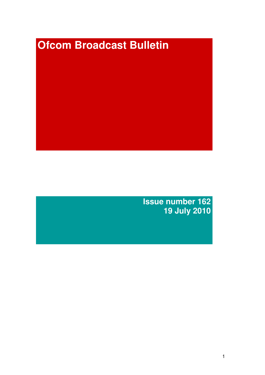# **Ofcom Broadcast Bulletin**

**Issue number 162 19 July 2010**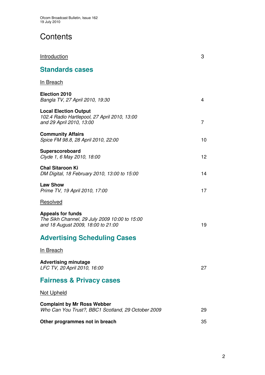# **Contents**

| <b>Introduction</b>                                                                                             | 3  |
|-----------------------------------------------------------------------------------------------------------------|----|
| <b>Standards cases</b>                                                                                          |    |
| <u>In Breach</u>                                                                                                |    |
| <b>Election 2010</b><br>Bangla TV, 27 April 2010, 19:30                                                         | 4  |
| <b>Local Election Output</b><br>102.4 Radio Hartlepool, 27 April 2010, 13:00<br>and 29 April 2010, 13:00        | 7  |
| <b>Community Affairs</b><br>Spice FM 98.8, 28 April 2010, 22:00                                                 | 10 |
| Superscoreboard<br>Clyde 1, 6 May 2010, 18:00                                                                   | 12 |
| <b>Chal Sitaroon Ki</b><br>DM Digital, 18 February 2010, 13:00 to 15:00                                         | 14 |
| <b>Law Show</b><br>Prime TV, 19 April 2010, 17:00                                                               | 17 |
| Resolved                                                                                                        |    |
| <b>Appeals for funds</b><br>The Sikh Channel, 29 July 2009 10:00 to 15:00<br>and 18 August 2009, 18:00 to 21:00 | 19 |
| <b>Advertising Scheduling Cases</b>                                                                             |    |
| In Breach                                                                                                       |    |
| <b>Advertising minutage</b><br>LFC TV, 20 April 2010, 16:00                                                     | 27 |
| <b>Fairness &amp; Privacy cases</b>                                                                             |    |
| <b>Not Upheld</b>                                                                                               |    |
| <b>Complaint by Mr Ross Webber</b><br>Who Can You Trust?, BBC1 Scotland, 29 October 2009                        | 29 |
| Other programmes not in breach                                                                                  | 35 |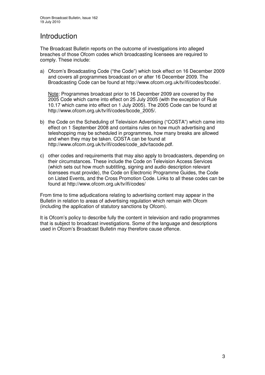# Introduction

The Broadcast Bulletin reports on the outcome of investigations into alleged breaches of those Ofcom codes which broadcasting licensees are required to comply. These include:

a) Ofcom's Broadcasting Code ("the Code") which took effect on 16 December 2009 and covers all programmes broadcast on or after 16 December 2009. The Broadcasting Code can be found at http://www.ofcom.org.uk/tv/ifi/codes/bcode/.

Note: Programmes broadcast prior to 16 December 2009 are covered by the 2005 Code which came into effect on 25 July 2005 (with the exception of Rule 10.17 which came into effect on 1 July 2005). The 2005 Code can be found at http://www.ofcom.org.uk/tv/ifi/codes/bcode\_2005/.

- b) the Code on the Scheduling of Television Advertising ("COSTA") which came into effect on 1 September 2008 and contains rules on how much advertising and teleshopping may be scheduled in programmes, how many breaks are allowed and when they may be taken. COSTA can be found at http://www.ofcom.org.uk/tv/ifi/codes/code\_adv/tacode.pdf.
- c) other codes and requirements that may also apply to broadcasters, depending on their circumstances. These include the Code on Television Access Services (which sets out how much subtitling, signing and audio description relevant licensees must provide), the Code on Electronic Programme Guides, the Code on Listed Events, and the Cross Promotion Code. Links to all these codes can be found at http://www.ofcom.org.uk/tv/ifi/codes/

From time to time adjudications relating to advertising content may appear in the Bulletin in relation to areas of advertising regulation which remain with Ofcom (including the application of statutory sanctions by Ofcom).

It is Ofcom's policy to describe fully the content in television and radio programmes that is subject to broadcast investigations. Some of the language and descriptions used in Ofcom's Broadcast Bulletin may therefore cause offence.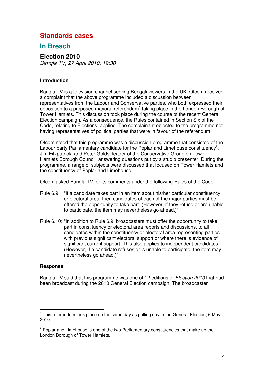# **Standards cases**

# **In Breach**

# **Election 2010**

*Bangla TV, 27 April 2010, 19:30*

### **Introduction**

Bangla TV is a television channel serving Bengali viewers in the UK. Ofcom received a complaint that the above programme included a discussion between representatives from the Labour and Conservative parties, who both expressed their opposition to a proposed mayoral referendum<sup>1</sup> taking place in the London Borough of Tower Hamlets. This discussion took place during the course of the recent General Election campaign. As a consequence, the Rules contained in Section Six of the Code, relating to Elections, applied. The complainant objected to the programme not having representatives of political parties that were in favour of the referendum.

Ofcom noted that this programme was a discussion programme that consisted of the Labour party Parliamentary candidate for the Poplar and Limehouse constituency<sup>2</sup>, Jim Fitzpatrick, and Peter Golds, leader of the Conservative Group on Tower Hamlets Borough Council, answering questions put by a studio presenter. During the programme, a range of subjects were discussed that focused on Tower Hamlets and the constituency of Poplar and Limehouse.

Ofcom asked Bangla TV for its comments under the following Rules of the Code:

- Rule 6.9: "If a candidate takes part in an item about his/her particular constituency, or electoral area, then candidates of each of the major parties must be offered the opportunity to take part. (However, if they refuse or are unable to participate, the item may nevertheless go ahead.)"
- Rule 6.10: "In addition to Rule 6.9, broadcasters must offer the opportunity to take part in constituency or electoral area reports and discussions, to all candidates within the constituency or electoral area representing parties with previous significant electoral support or where there is evidence of significant current support. This also applies to independent candidates. (However, if a candidate refuses or is unable to participate, the item may nevertheless go ahead.)"

### **Response**

Bangla TV said that this programme was one of 12 editions of *Election 2010* that had been broadcast during the 2010 General Election campaign. The broadcaster

<sup>&</sup>lt;sup>1</sup> This referendum took place on the same day as polling day in the General Election, 6 May 2010.

<sup>&</sup>lt;sup>2</sup> Poplar and Limehouse is one of the two Parliamentary constituencies that make up the London Borough of Tower Hamlets.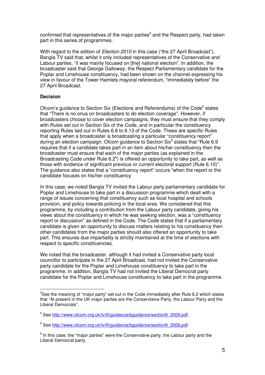confirmed that representatives of the major parties<sup>3</sup> and the Respect party, had taken part in this series of programmes.

With regard to the edition of *Election 2010* in this case ("the 27 April Broadcast"), Bangla TV said that, whilst it only included representatives of the Conservative and Labour parties, "it was mainly focused on [the] national election". In addition, the broadcaster said that George Galloway, the Respect Parliamentary candidate for the Poplar and Limehouse constituency, had been shown on the channel expressing his view in favour of the Tower Hamlets mayoral referendum, "immediately before" the 27 April Broadcast.

### **Decision**

Ofcom's guidance to Section Six (Elections and Referendums) of the Code<sup>4</sup> states that "There is no onus on broadcasters to do election coverage". However, if broadcasters choose to cover election campaigns, they must ensure that they comply with Rules set out in Section Six of the Code, and in particular the constituency reporting Rules laid out in Rules 6.8 to 6.13 of the Code. These are specific Rules that apply when a broadcaster is broadcasting a particular "constituency report" during an election campaign. Ofcom guidance to Section Six<sup>5</sup> states that "Rule 6.9 requires that if a candidate takes part in an item about his/her constituency then the broadcaster must ensure that each of the major parties (as explained in the Broadcasting Code under Rule  $6.2^6$ ) is offered an opportunity to take part, as well as those with evidence of significant previous or current electoral support (Rule 6.10)". The guidance also states that a "constituency report" occurs "when the report or the candidate focuses on his/her constituency

In this case, we noted Bangla TV invited the Labour party parliamentary candidate for Poplar and Limehouse to take part in a discussion programme which dealt with a range of issues concerning that constituency such as local hospital and schools provision, and policy towards policing in the local area. We considered that this programme, by including a contribution from the Labour party candidate, giving his views about the constituency in which he was seeking election, was a "constituency report or discussion" as defined in the Code. The Code states that if a parliamentary candidate is given an opportunity to discuss matters relating to his constituency then other candidates from the major parties should also offered an opportunity to take part. This ensures due impartiality is strictly maintained at the time of elections with respect to specific constituencies.

We noted that the broadcaster, although it had invited a Conservative party local councillor to participate in the 27 April Broadcast, had not invited the Conservative party candidate for the Poplar and Limehouse constituency to take part in the programme. In addition, Bangla TV had not invited the Liberal Democrat party candidate for the Poplar and Limehouse constituency to take part in the programme.

 ${}^{3}$ See the meaning of "major party" set out in the Code immediately after Rule 6.2 which states that "At present in the UK major parties are the Conservtaive Party, the Labour Party and the Liberal Democrats".

<sup>&</sup>lt;sup>4</sup> See http://www.ofcom.org.uk/tv/ifi/guidance/bguidance/section6\_2009.pdf.

<sup>&</sup>lt;sup>5</sup> See http://www.ofcom.org.uk/tv/ifi/guidance/bguidance/section6\_2009.pdf.

 $^6$  In this case, the "major parties" were the Conservative party, the Labour party and the Liberal Democrat party.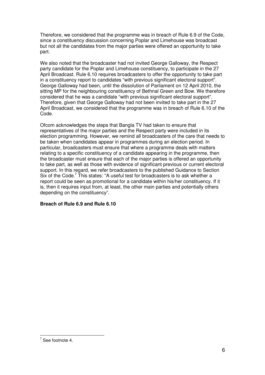Therefore, we considered that the programme was in breach of Rule 6.9 of the Code, since a constituency discussion concerning Poplar and Limehouse was broadcast but not all the candidates from the major parties were offered an opportunity to take part.

We also noted that the broadcaster had not invited George Galloway, the Respect party candidate for the Poplar and Limehouse constituency, to participate in the 27 April Broadcast. Rule 6.10 requires broadcasters to offer the opportunity to take part in a constituency report to candidates "with previous significant electoral support". George Galloway had been, until the dissolution of Parliament on 12 April 2010, the sitting MP for the neighbouring constituency of Bethnal Green and Bow. We therefore considered that he was a candidate "with previous significant electoral support". Therefore, given that George Galloway had not been invited to take part in the 27 April Broadcast, we considered that the programme was in breach of Rule 6.10 of the Code.

Ofcom acknowledges the steps that Bangla TV had taken to ensure that representatives of the major parties and the Respect party were included in its election programming. However, we remind all broadcasters of the care that needs to be taken when candidates appear in programmes during an election period. In particular, broadcasters must ensure that where a programme deals with matters relating to a specific constituency of a candidate appearing in the programme, then the broadcaster must ensure that each of the major parties is offered an opportunity to take part, as well as those with evidence of significant previous or current electoral support. In this regard, we refer broadcasters to the published Guidance to Section Six of the Code.<sup>7</sup> This states: "A useful test for broadcasters is to ask whether a report could be seen as promotional for a candidate within his/her constituency. If it is, then it requires input from, at least, the other main parties and potentially others depending on the constituency".

### **Breach of Rule 6.9 and Rule 6.10**

 $7$  See footnote 4.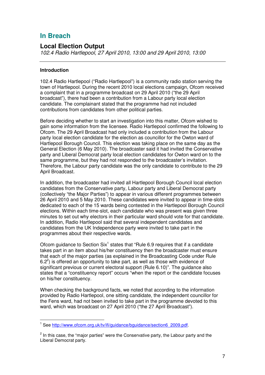# **In Breach**

### **Local Election Output**

*102.4 Radio Hartlepool, 27 April 2010, 13:00 and 29 April 2010, 13:00*

### **Introduction**

102.4 Radio Hartlepool ("Radio Hartlepool") is a community radio station serving the town of Hartlepool. During the recent 2010 local elections campaign, Ofcom received a complaint that in a programme broadcast on 29 April 2010 ("the 29 April broadcast"), there had been a contribution from a Labour party local election candidate. The complainant stated that the programme had not included contributions from candidates from other political parties.

Before deciding whether to start an investigation into this matter, Ofcom wished to gain some information from the licensee. Radio Hartlepool confirmed the following to Ofcom. The 29 April Broadcast had only included a contribution from the Labour party local election candidate for the election as councillor for the Owton ward of Hartlepool Borough Council. This election was taking place on the same day as the General Election (6 May 2010). The broadcaster said it had invited the Conservative party and Liberal Democrat party local election candidates for Owton ward on to the same programme, but they had not responded to the broadcaster's invitation. Therefore, the Labour party candidate was the only candidate to contribute to the 29 April Broadcast.

In addition, the broadcaster had invited all Hartlepool Borough Council local election candidates from the Conservative party, Labour party and Liberal Democrat party (collectively "the Major Parties") to appear in various different programmes between 26 April 2010 and 5 May 2010. These candidates were invited to appear in time-slots dedicated to each of the 15 wards being contested in the Hartlepool Borough Council elections. Within each time-slot, each candidate who was present was given three minutes to set out why electors in their particular ward should vote for that candidate. In addition, Radio Hartlepool said that several independent candidates and candidates from the UK Independence party were invited to take part in the programmes about their respective wards.

Ofcom guidance to Section Six<sup>1</sup> states that "Rule 6.9 requires that if a candidate takes part in an item about his/her constituency then the broadcaster must ensure that each of the major parties (as explained in the Broadcasting Code under Rule 6.2 $2$ ) is offered an opportunity to take part, as well as those with evidence of significant previous or current electoral support (Rule 6.10)". The guidance also states that a "constituency report" occurs "when the report or the candidate focuses on his/her constituency.

When checking the background facts, we noted that according to the information provided by Radio Hartlepool, one sitting candidate, the independent councillor for the Fens ward, had not been invited to take part in the programme devoted to this ward, which was broadcast on 27 April 2010 ("the 27 April Broadcast").

<sup>&</sup>lt;sup>1</sup> See http://www.ofcom.org.uk/tv/ifi/guidance/bguidance/section6\_2009.pdf.

 $2$  In this case, the "major parties" were the Conservative party, the Labour party and the Liberal Democrat party.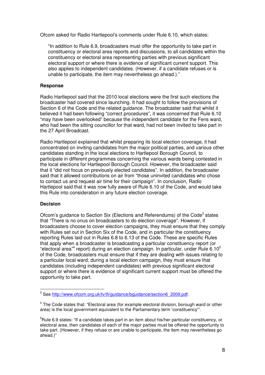Ofcom asked for Radio Hartlepool's comments under Rule 6.10, which states:

"In addition to Rule 6.9, broadcasters must offer the opportunity to take part in constituency or electoral area reports and discussions, to all candidates within the constituency or electoral area representing parties with previous significant electoral support or where there is evidence of significant current support. This also applies to independent candidates. (However, if a candidate refuses or is unable to participate, the item may nevertheless go ahead.)."

### **Response**

Radio Hartlepool said that the 2010 local elections were the first such elections the broadcaster had covered since launching. It had sought to follow the provisions of Section 6 of the Code and the related guidance. The broadcaster said that whilst it believed it had been following "correct procedures", it was concerned that Rule 6.10 "may have been overlooked" because the independent candidate for the Fens ward, who had been the sitting councillor for that ward, had not been invited to take part in the 27 April Broadcast.

Radio Hartlepool explained that whilst preparing its local election coverage, it had concentrated on inviting candidates from the major political parties, and various other candidates standing in the local elections to Hartlepool Borough Council, to participate in different programmes concerning the various wards being contested in the local elections for Hartlepool Borough Council. However, the broadcaster said that it "did not focus on previously elected candidates". In addition, the broadcaster said that it allowed contributions on air from "those uninvited candidates who chose to contact us and request air time for their campaign". In conclusion, Radio Hartlepool said that it was now fully aware of Rule 6.10 of the Code, and would take this Rule into consideration in any future election coverage.

### **Decision**

Ofcom's guidance to Section Six (Elections and Referendums) of the Code<sup>3</sup> states that "There is no onus on broadcasters to do election coverage". However, if broadcasters choose to cover election campaigns, they must ensure that they comply with Rules set out in Section Six of the Code, and in particular the constituency reporting Rules laid out in Rules 6.8 to 6.13 of the Code. These are specific Rules that apply when a broadcaster is broadcasting a particular constituency report (or "electoral area"<sup>4</sup> report) during an election campaign. In particular, under Rule 6.10<sup>5</sup> of the Code, broadcasters must ensure that if they are dealing with issues relating to a particular local ward, during a local election campaign, they must ensure that candidates (including independent candidates) with previous significant electoral support or where there is evidence of significant current support must be offered the opportunity to take part.

<sup>&</sup>lt;sup>3</sup> See http://www.ofcom.org.uk/tv/ifi/guidance/bguidance/section6\_2009.pdf.

<sup>&</sup>lt;sup>4</sup> The Code states that: "Electoral area (for example electoral division, borough ward or other area) is the local government equivalent to the Parliamentary term 'constituency'".

<sup>&</sup>lt;sup>5</sup>Rule 6.9 states: "If a candidate takes part in an item about his/her particular constituency, or electoral area, then candidates of each of the major parties must be offered the opportunity to take part. (However, if they refuse or are unable to participate, the item may nevertheless go ahead.)"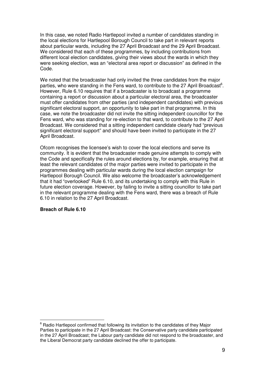In this case, we noted Radio Hartlepool invited a number of candidates standing in the local elections for Hartlepool Borough Council to take part in relevant reports about particular wards, including the 27 April Broadcast and the 29 April Broadcast. We considered that each of these programmes, by including contributions from different local election candidates, giving their views about the wards in which they were seeking election, was an "electoral area report or discussion" as defined in the Code.

We noted that the broadcaster had only invited the three candidates from the major parties, who were standing in the Fens ward, to contribute to the 27 April Broadcast<sup>6</sup>. However, Rule 6.10 requires that if a broadcaster is to broadcast a programme containing a report or discussion about a particular electoral area, the broadcaster must offer candidates from other parties (and independent candidates) with previous significant electoral support, an opportunity to take part in that programme. In this case, we note the broadcaster did not invite the sitting independent councillor for the Fens ward, who was standing for re-election to that ward, to contribute to the 27 April Broadcast. We considered that a sitting independent candidate clearly had "previous significant electoral support" and should have been invited to participate in the 27 April Broadcast.

Ofcom recognises the licensee's wish to cover the local elections and serve its community. It is evident that the broadcaster made genuine attempts to comply with the Code and specifically the rules around elections by, for example, ensuring that at least the relevant candidates of the major parties were invited to participate in the programmes dealing with particular wards during the local election campaign for Hartlepool Borough Council. We also welcome the broadcaster's acknowledgement that it had "overlooked" Rule 6.10, and its undertaking to comply with this Rule in future election coverage. However, by failing to invite a sitting councillor to take part in the relevant programme dealing with the Fens ward, there was a breach of Rule 6.10 in relation to the 27 April Broadcast.

### **Breach of Rule 6.10**

 $6$  Radio Hartlepool confirmed that following its invitation to the candidates of they Major Parties to participate in the 27 April Broadcast: the Conservative party candidate participated in the 27 April Broadcast; the Labour party candidate did not respond to the broadcaster, and the Liberal Democrat party candidate declined the offer to participate.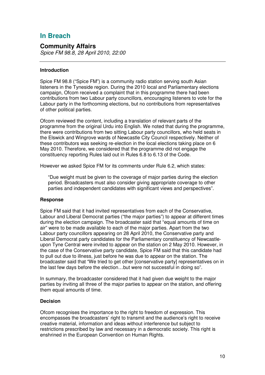# **In Breach**

### **Community Affairs**

*Spice FM 98.8, 28 April 2010, 22:00*

### **Introduction**

Spice FM 98.8 ("Spice FM") is a community radio station serving south Asian listeners in the Tyneside region. During the 2010 local and Parliamentary elections campaign, Ofcom received a complaint that in this programme there had been contributions from two Labour party councillors, encouraging listeners to vote for the Labour party in the forthcoming elections, but no contributions from representatives of other political parties.

Ofcom reviewed the content, including a translation of relevant parts of the programme from the original Urdu into English. We noted that during the programme, there were contributions from two sitting Labour party councillors, who held seats in the Elswick and Wingrove wards of Newcastle City Council respectively. Neither of these contributors was seeking re-election in the local elections taking place on 6 May 2010. Therefore, we considered that the programme did not engage the constituency reporting Rules laid out in Rules 6.8 to 6.13 of the Code.

However we asked Spice FM for its comments under Rule 6.2, which states:

"Due weight must be given to the coverage of major parties during the election period. Broadcasters must also consider giving appropriate coverage to other parties and independent candidates with significant views and perspectives".

### **Response**

Spice FM said that it had invited representatives from each of the Conservative, Labour and Liberal Democrat parties ("the major parties") to appear at different times during the election campaign. The broadcaster said that "equal amounts of time on air" were to be made available to each of the major parties. Apart from the two Labour party councillors appearing on 28 April 2010, the Conservative party and Liberal Democrat party candidates for the Parliamentary constituency of Newcastleupon Tyne Central were invited to appear on the station on 2 May 2010. However, in the case of the Conservative party candidate, Spice FM said that this candidate had to pull out due to illness, just before he was due to appear on the station. The broadcaster said that "We tried to get other [conservative party] representatives on in the last few days before the election…but were not successful in doing so".

In summary, the broadcaster considered that it had given due weight to the major parties by inviting all three of the major parties to appear on the station, and offering them equal amounts of time.

### **Decision**

Ofcom recognises the importance to the right to freedom of expression. This encompasses the broadcasters' right to transmit and the audience's right to receive creative material, information and ideas without interference but subject to restrictions prescribed by law and necessary in a democratic society. This right is enshrined in the European Convention on Human Rights.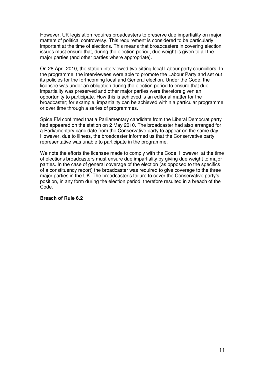However, UK legislation requires broadcasters to preserve due impartiality on major matters of political controversy. This requirement is considered to be particularly important at the time of elections. This means that broadcasters in covering election issues must ensure that, during the election period, due weight is given to all the major parties (and other parties where appropriate).

On 28 April 2010, the station interviewed two sitting local Labour party councillors. In the programme, the interviewees were able to promote the Labour Party and set out its policies for the forthcoming local and General election. Under the Code, the licensee was under an obligation during the election period to ensure that due impartiality was preserved and other major parties were therefore given an opportunity to participate. How this is achieved is an editorial matter for the broadcaster; for example, impartiality can be achieved within a particular programme or over time through a series of programmes.

Spice FM confirmed that a Parliamentary candidate from the Liberal Democrat party had appeared on the station on 2 May 2010. The broadcaster had also arranged for a Parliamentary candidate from the Conservative party to appear on the same day. However, due to illness, the broadcaster informed us that the Conservative party representative was unable to participate in the programme.

We note the efforts the licensee made to comply with the Code. However, at the time of elections broadcasters must ensure due impartiality by giving due weight to major parties. In the case of general coverage of the election (as opposed to the specifics of a constituency report) the broadcaster was required to give coverage to the three major parties in the UK. The broadcaster's failure to cover the Conservative party's position, in any form during the election period, therefore resulted in a breach of the Code.

### **Breach of Rule 6.2**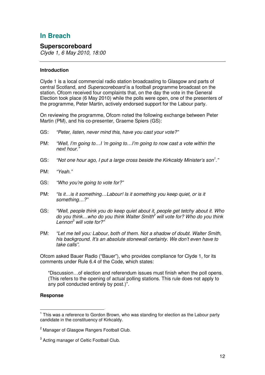# **In Breach**

### **Superscoreboard**

*Clyde 1, 6 May 2010, 18:00*

### **Introduction**

Clyde 1 is a local commercial radio station broadcasting to Glasgow and parts of central Scotland, and *Superscoreboard* is a football programme broadcast on the station. Ofcom received four complaints that, on the day the vote in the General Election took place (6 May 2010) while the polls were open, one of the presenters of the programme, Peter Martin, actively endorsed support for the Labour party.

On reviewing the programme, Ofcom noted the following exchange between Peter Martin (PM), and his co-presenter, Graeme Spiers (GS):

- GS: *"Peter, listen, never mind this, have you cast your vote?"*
- PM: *"Well, I'm going to…I 'm going to…I'm going to now cast a vote within the next hour."*
- GS: *"Not one hour ago, I put a large cross beside the Kirkcaldy Minister's son 1 ."*
- PM: *"Yeah."*
- GS: *"Who you're going to vote for?"*
- PM: *"Is it…is it something…Labour! Is it something you keep quiet, or is it something…?"*
- GS: *"Well, people think you do keep quiet about it, people get tetchy about it. Who do you think…who do you think Walter Smith <sup>2</sup> will vote for? Who do you think Lennon <sup>3</sup> will vote for?"*
- PM: *"Let me tell you: Labour, both of them. Not a shadow of doubt. Walter Smith, his background. It's an absolute stonewall certainty. We don't even have to take calls".*

Ofcom asked Bauer Radio ("Bauer"), who provides compliance for Clyde 1, for its comments under Rule 6.4 of the Code, which states:

"Discussion…of election and referendum issues must finish when the poll opens. (This refers to the opening of actual polling stations. This rule does not apply to any poll conducted entirely by post.)".

### **Response**

<sup>&</sup>lt;sup>1</sup> This was a reference to Gordon Brown, who was standing for election as the Labour party candidate in the constituency of Kirkcaldy.

<sup>&</sup>lt;sup>2</sup> Manager of Glasgow Rangers Football Club.

 $3$  Acting manager of Celtic Football Club.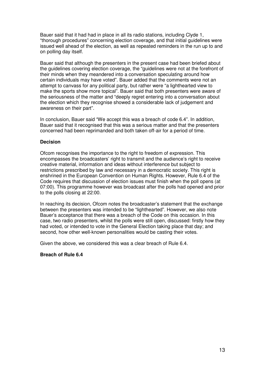Bauer said that it had had in place in all its radio stations, including Clyde 1, "thorough procedures" concerning election coverage, and that initial guidelines were issued well ahead of the election, as well as repeated reminders in the run up to and on polling day itself.

Bauer said that although the presenters in the present case had been briefed about the guidelines covering election coverage, the "guidelines were not at the forefront of their minds when they meandered into a conversation speculating around how certain individuals may have voted". Bauer added that the comments were not an attempt to canvass for any political party, but rather were "a lighthearted view to make the sports show more topical". Bauer said that both presenters were aware of the seriousness of the matter and "deeply regret entering into a conversation about the election which they recognise showed a considerable lack of judgement and awareness on their part".

In conclusion, Bauer said "We accept this was a breach of code 6.4". In addition, Bauer said that it recognised that this was a serious matter and that the presenters concerned had been reprimanded and both taken off-air for a period of time.

### **Decision**

Ofcom recognises the importance to the right to freedom of expression. This encompasses the broadcasters' right to transmit and the audience's right to receive creative material, information and ideas without interference but subject to restrictions prescribed by law and necessary in a democratic society. This right is enshrined in the European Convention on Human Rights. However, Rule 6.4 of the Code requires that discussion of election issues must finish when the poll opens (at 07:00). This programme however was broadcast after the polls had opened and prior to the polls closing at 22:00.

In reaching its decision, Ofcom notes the broadcaster's statement that the exchange between the presenters was intended to be "lighthearted". However, we also note Bauer's acceptance that there was a breach of the Code on this occasion. In this case, two radio presenters, whilst the polls were still open, discussed: firstly how they had voted, or intended to vote in the General Election taking place that day; and second, how other well-known personalities would be casting their votes.

Given the above, we considered this was a clear breach of Rule 6.4.

### **Breach of Rule 6.4**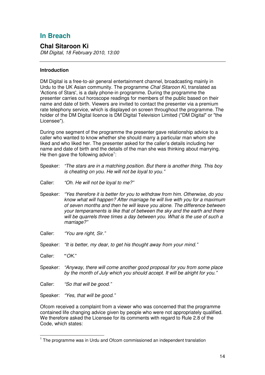# **In Breach**

# **Chal Sitaroon Ki**

*DM Digital, 18 February 2010, 13:00*

### **Introduction**

DM Digital is a free-to-air general entertainment channel, broadcasting mainly in Urdu to the UK Asian community. The programme *Chal Sitaroon Ki*, translated as 'Actions of Stars', is a daily phone-in programme. During the programme the presenter carries out horoscope readings for members of the public based on their name and date of birth. Viewers are invited to contact the presenter via a premium rate telephony service, which is displayed on screen throughout the programme. The holder of the DM Digital licence is DM Digital Television Limited ("DM Digital" or "the Licensee").

During one segment of the programme the presenter gave relationship advice to a caller who wanted to know whether she should marry a particular man whom she liked and who liked her. The presenter asked for the caller's details including her name and date of birth and the details of the man she was thinking about marrying. He then gave the following advice<sup>1</sup>:

- Speaker: *"The stars are in a matching position. But there is another thing. This boy is cheating on you. He will not be loyal to you."*
- Caller: *"Oh. He will not be loyal to me?"*
- Speaker: *"Yes therefore it is better for you to withdraw from him. Otherwise, do you know what will happen? After marriage he will live with you for a maximum of seven months and then he will leave you alone. The difference between your temperaments is like that of between the sky and the earth and there will be quarrels three times a day between you. What is the use of such a marriage?"*
- Caller: *"You are right, Sir."*
- Speaker: *"It is better, my dear, to get his thought away from your mind."*
- Caller: **"***OK.*"
- Speaker: *"Anyway, there will come another good proposal for you from some place by the month of July which you should accept. It will be alright for you."*
- Caller: *"So that will be good."*
- Speaker: *"Yes, that will be good."*

Ofcom received a complaint from a viewer who was concerned that the programme contained life changing advice given by people who were not appropriately qualified. We therefore asked the Licensee for its comments with regard to Rule 2.8 of the Code, which states:

<sup>&</sup>lt;sup>1</sup> The programme was in Urdu and Ofcom commissioned an independent translation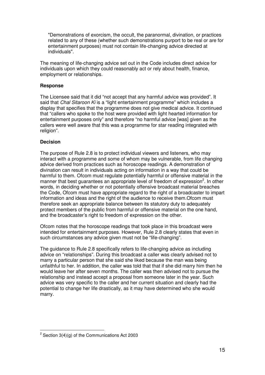"Demonstrations of exorcism, the occult, the paranormal, divination, or practices related to any of these (whether such demonstrations purport to be real or are for entertainment purposes) must not contain life-changing advice directed at individuals".

The meaning of life-changing advice set out in the Code includes direct advice for individuals upon which they could reasonably act or rely about health, finance, employment or relationships.

### **Response**

The Licensee said that it did "not accept that any harmful advice was provided". It said that *Chal Sitaroon Ki* is a "light entertainment programme" which includes a display that specifies that the programme does not give medical advice. It continued that "callers who spoke to the host were provided with light hearted information for entertainment purposes only" and therefore "no harmful advice [was] given as the callers were well aware that this was a programme for star reading integrated with religion".

### **Decision**

The purpose of Rule 2.8 is to protect individual viewers and listeners, who may interact with a programme and some of whom may be vulnerable, from life changing advice derived from practices such as horoscope readings. A demonstration of divination can result in individuals acting on information in a way that could be harmful to them. Ofcom must regulate potentially harmful or offensive material in the manner that best guarantees an appropriate level of freedom of expression<sup>2</sup>. In other words, in deciding whether or not potentially offensive broadcast material breaches the Code, Ofcom must have appropriate regard to the right of a broadcaster to impart information and ideas and the right of the audience to receive them.Ofcom must therefore seek an appropriate balance between its statutory duty to adequately protect members of the public from harmful or offensive material on the one hand, and the broadcaster's right to freedom of expression on the other.

Ofcom notes that the horoscope readings that took place in this broadcast were intended for entertainment purposes. However, Rule 2.8 clearly states that even in such circumstances any advice given must not be "life-changing".

The guidance to Rule 2.8 specifically refers to life-changing advice as including advice on "relationships". During this broadcast a caller was clearly advised not to marry a particular person that she said she liked because the man was being unfaithful to her. In addition, the caller was told that that if she did marry him then he would leave her after seven months. The caller was then advised not to pursue the relationship and instead accept a proposal from someone later in the year. Such advice was very specific to the caller and her current situation and clearly had the potential to change her life drastically, as it may have determined who she would marry.

 $2$  Section 3(4)(g) of the Communications Act 2003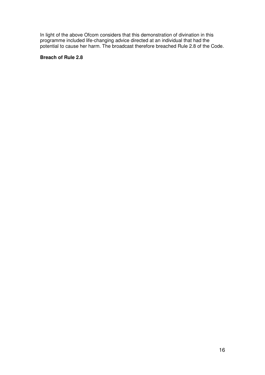In light of the above Ofcom considers that this demonstration of divination in this programme included life-changing advice directed at an individual that had the potential to cause her harm. The broadcast therefore breached Rule 2.8 of the Code.

### **Breach of Rule 2.8**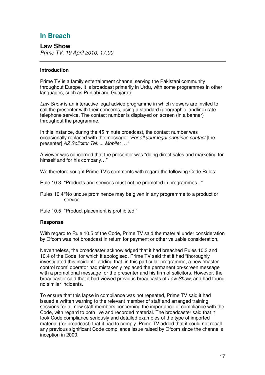# **In Breach**

**Law Show** *Prime TV, 19 April 2010, 17:00*

### **Introduction**

Prime TV is a family entertainment channel serving the Pakistani community throughout Europe. It is broadcast primarily in Urdu, with some programmes in other languages, such as Punjabi and Guajarati.

*Law Show* is an interactive legal advice programme in which viewers are invited to call the presenter with their concerns, using a standard (geographic landline) rate telephone service. The contact number is displayed on screen (in a banner) throughout the programme.

In this instance, during the 45 minute broadcast, the contact number was occasionally replaced with the message: *"For all your legal enquiries contact* [the presenter] *AZ Solicitor Tel: ... Mobile: …"*

A viewer was concerned that the presenter was "doing direct sales and marketing for himself and for his company…"

We therefore sought Prime TV's comments with regard the following Code Rules:

Rule 10.3 "Products and services must not be promoted in programmes..."

Rules 10.4"No undue prominence may be given in any programme to a product or service"

Rule 10.5 "Product placement is prohibited."

### **Response**

With regard to Rule 10.5 of the Code, Prime TV said the material under consideration by Ofcom was not broadcast in return for payment or other valuable consideration.

Nevertheless, the broadcaster acknowledged that it had breached Rules 10.3 and 10.4 of the Code, for which it apologised. Prime TV said that it had "thoroughly investigated this incident", adding that, in this particular programme, a new 'master control room' operator had mistakenly replaced the permanent on-screen message with a promotional message for the presenter and his firm of solicitors. However, the broadcaster said that it had viewed previous broadcasts of *Law Show*, and had found no similar incidents.

To ensure that this lapse in compliance was not repeated, Prime TV said it had issued a written warning to the relevant member of staff and arranged training sessions for all new staff members concerning the importance of compliance with the Code, with regard to both live and recorded material. The broadcaster said that it took Code compliance seriously and detailed examples of the type of imported material (for broadcast) that it had to comply. Prime TV added that it could not recall any previous significant Code compliance issue raised by Ofcom since the channel's inception in 2000.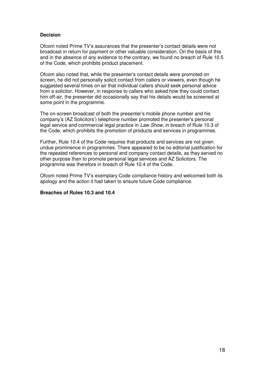### **Decision**

Ofcom noted Prime TV's assurances that the presenter's contact details were not broadcast in return for payment or other valuable consideration. On the basis of this and in the absence of any evidence to the contrary, we found no breach of Rule 10.5 of the Code, which prohibits product placement.

Ofcom also noted that, while the presenter's contact details were promoted on screen, he did not personally solicit contact from callers or viewers, even though he suggested several times on air that individual callers should seek personal advice from a solicitor. However, in response to callers who asked how they could contact him off-air, the presenter did occasionally say that his details would be screened at some point in the programme.

The on-screen broadcast of both the presenter's mobile phone number and his company's (AZ Solicitors') telephone number promoted the presenter's personal legal service and commercial legal practice in *Law Show*, in breach of Rule 10.3 of the Code, which prohibits the promotion of products and services in programmes.

Further, Rule 10.4 of the Code requires that products and services are not given undue prominence in programmes. There appeared to be no editorial justification for the repeated references to personal and company contact details, as they served no other purpose than to promote personal legal services and AZ Solicitors. The programme was therefore in breach of Rule 10.4 of the Code.

Ofcom noted Prime TV's exemplary Code compliance history and welcomed both its apology and the action it had taken to ensure future Code compliance.

### **Breaches of Rules 10.3 and 10.4**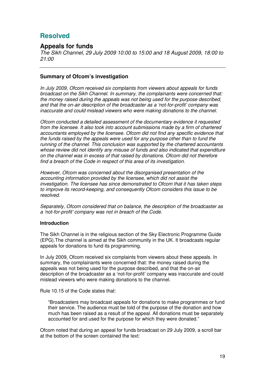# **Resolved**

### **Appeals for funds**

*The Sikh Channel, 29 July 2009 10:00 to 15:00 and 18 August 2009, 18:00 to 21:00*

### **Summary of Ofcom's investigation**

*In July 2009, Ofcom received six complaints from viewers about appeals for funds broadcast on the Sikh Channel. In summary, the complainants were concerned that: the money raised during the appeals was not being used for the purpose described, and that the on-air description of the broadcaster as a 'not-for-profit' company was inaccurate and could mislead viewers who were making donations to the channel.*

*Ofcom conducted a detailed assessment of the documentary evidence it requested from the licensee. It also took into account submissions made by a firm of chartered accountants employed by the licensee. Ofcom did not find any specific evidence that the funds raised by the appeals were used for any purpose other than to fund the running of the channel. This conclusion was supported by the chartered accountants whose review did not identify any misuse of funds and also indicated that expenditure on the channel was in excess of that raised by donations. Ofcom did not therefore find a breach of the Code in respect of this area of its investigation.*

*However, Ofcom was concerned about the disorganised presentation of the accounting information provided by the licensee, which did not assist the investigation. The licensee has since demonstrated to Ofcom that it has taken steps to improve its record-keeping, and consequently Ofcom considers this issue to be resolved.*

*Separately, Ofcom considered that on balance, the description of the broadcaster as a 'not-for-profit' company was not in breach of the Code.*

### **Introduction**

The Sikh Channel is in the religious section of the Sky Electronic Programme Guide (EPG).The channel is aimed at the Sikh community in the UK. It broadcasts regular appeals for donations to fund its programming.

In July 2009, Ofcom received six complaints from viewers about these appeals. In summary, the complainants were concerned that: the money raised during the appeals was not being used for the purpose described, and that the on-air description of the broadcaster as a 'not-for-profit' company was inaccurate and could mislead viewers who were making donations to the channel.

Rule 10.15 of the Code states that:

"Broadcasters may broadcast appeals for donations to make programmes or fund their service. The audience must be told of the purpose of the donation and how much has been raised as a result of the appeal. All donations must be separately accounted for and used for the purpose for which they were donated."

Ofcom noted that during an appeal for funds broadcast on 29 July 2009, a scroll bar at the bottom of the screen contained the text: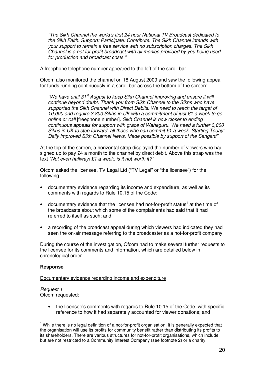*"The Sikh Channel the world's first 24 hour National TV Broadcast dedicated to the Sikh Faith. Support: Participate: Contribute. The Sikh Channel intends with your support to remain a free service with no subscription charges. The Sikh Channel is a not for profit broadcast with all monies provided by you being used for production and broadcast costs."*

A freephone telephone number appeared to the left of the scroll bar.

Ofcom also monitored the channel on 18 August 2009 and saw the following appeal for funds running continuously in a scroll bar across the bottom of the screen:

*"We have until 31 st August to keep Sikh Channel improving and ensure it will continue beyond doubt. Thank you from Sikh Channel to the Sikhs who have supported the Sikh Channel with Direct Debits. We need to reach the target of 10,000 and require 3,800 Sikhs in UK with a commitment of just £1 a week to go online or call* [freephone number]*. Sikh Channel is now closer to ending continuous appeals for support with grace of Waheguru. We need a further 3,800 Sikhs in UK to step forward, all those who can commit £1 a week. Starting Today: Daily improved Sikh Channel News. Made possible by support of the Sangant"*

At the top of the screen, a horizontal strap displayed the number of viewers who had signed up to pay £4 a month to the channel by direct debit. Above this strap was the text *"Not even halfway! £1 a week, is it not worth it?"*

Ofcom asked the licensee, TV Legal Ltd ("TV Legal" or "the licensee") for the following:

- documentary evidence regarding its income and expenditure, as well as its comments with regards to Rule 10.15 of the Code;
- documentary evidence that the licensee had not-for-profit status<sup>1</sup> at the time of the broadcasts about which some of the complainants had said that it had referred to itself as such; and
- a recording of the broadcast appeal during which viewers had indicated they had seen the on-air message referring to the broadcaster as a not-for-profit company.

During the course of the investigation, Ofcom had to make several further requests to the licensee for its comments and information, which are detailed below in chronological order.

### **Response**

### Documentary evidence regarding income and expenditure

*Request 1* Ofcom requested:

> • the licensee's comments with regards to Rule 10.15 of the Code, with specific reference to how it had separately accounted for viewer donations; and

 $1$  While there is no legal definition of a not-for-profit organisation, it is generally expected that the organisation will use its profits for community benefit rather than distributing its profits to its shareholders. There are various structures for not-for-profit organisations, which include, but are not restricted to a Community Interest Company (see footnote 2) or a charity.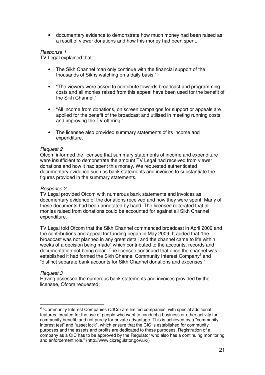• documentary evidence to demonstrate how much money had been raised as a result of viewer donations and how this money had been spent.

### *Response 1*

TV Legal explained that:

- The Sikh Channel "can only continue with the financial support of the thousands of Sikhs watching on a daily basis."
- "The viewers were asked to contribute towards broadcast and programming costs and all monies raised from this appeal have been used for the benefit of the Sikh Channel."
- "All income from donations, on screen campaigns for support or appeals are applied for the benefit of the broadcast and utilised in meeting running costs and improving the TV offering."
- The licensee also provided summary statements of its income and expenditure.

### *Request 2*

Ofcom informed the licensee that summary statements of income and expenditure were insufficient to demonstrate the amount TV Legal had received from viewer donations and how it had spent this money. We requested authenticated documentary evidence such as bank statements and invoices to substantiate the figures provided in the summary statements.

### *Response 2*

TV Legal provided Ofcom with numerous bank statements and invoices as documentary evidence of the donations received and how they were spent. Many of these documents had been annotated by hand. The licensee reiterated that all monies raised from donations could be accounted for against all Sikh Channel expenditure.

TV Legal told Ofcom that the Sikh Channel commenced broadcast in April 2009 and the contributions and appeal for funding began in May 2009. It added that "the broadcast was not planned in any great detail and the channel came to life within weeks of a decision being made" which contributed to the accounts, records and documentation not being clear. The licensee continued that once the channel was established it had formed the Sikh Channel Community Interest Company<sup>2</sup> and "distinct separate bank accounts for Sikh Channel donations and expenses."

### *Request 3*

Having assessed the numerous bank statements and invoices provided by the licensee, Ofcom requested:

<sup>&</sup>lt;sup>2</sup> "Community Interest Companies (CICs) are limited companies, with special additional features, created for the use of people who want to conduct a business or other activity for community benefit, and not purely for private advantage. This is achieved by a "community interest test" and "asset lock", which ensure that the CIC is established for community purposes and the assets and profits are dedicated to these purposes. Registration of a company as a CIC has to be approved by the Regulator who also has a continuing monitoring and enforcement role." (http://www.cicregulator.gov.uk/)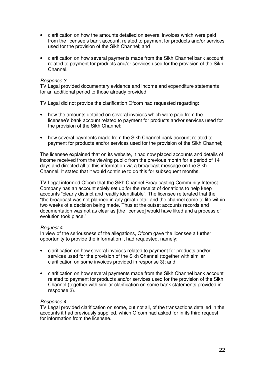- clarification on how the amounts detailed on several invoices which were paid from the licensee's bank account, related to payment for products and/or services used for the provision of the Sikh Channel; and
- clarification on how several payments made from the Sikh Channel bank account related to payment for products and/or services used for the provision of the Sikh Channel.

### *Response 3*

TV Legal provided documentary evidence and income and expenditure statements for an additional period to those already provided.

TV Legal did not provide the clarification Ofcom had requested regarding:

- how the amounts detailed on several invoices which were paid from the licensee's bank account related to payment for products and/or services used for the provision of the Sikh Channel;
- how several payments made from the Sikh Channel bank account related to payment for products and/or services used for the provision of the Sikh Channel;

The licensee explained that on its website, it had now placed accounts and details of income received from the viewing public from the previous month for a period of 14 days and directed all to this information via a broadcast message on the Sikh Channel. It stated that it would continue to do this for subsequent months.

TV Legal informed Ofcom that the Sikh Channel Broadcasting Community Interest Company has an account solely set up for the receipt of donations to help keep accounts "clearly distinct and readily identifiable". The licensee reiterated that the "the broadcast was not planned in any great detail and the channel came to life within two weeks of a decision being made. Thus at the outset accounts records and documentation was not as clear as [the licensee] would have liked and a process of evolution took place."

### *Request 4*

In view of the seriousness of the allegations, Ofcom gave the licensee a further opportunity to provide the information it had requested, namely:

- clarification on how several invoices related to payment for products and/or services used for the provision of the Sikh Channel (together with similar clarification on some invoices provided in response 3); and
- clarification on how several payments made from the Sikh Channel bank account related to payment for products and/or services used for the provision of the Sikh Channel (together with similar clarification on some bank statements provided in response 3).

### *Response 4*

TV Legal provided clarification on some, but not all, of the transactions detailed in the accounts it had previously supplied, which Ofcom had asked for in its third request for information from the licensee.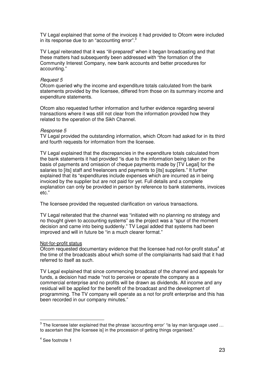TV Legal explained that some of the invoices it had provided to Ofcom were included in its response due to an "accounting error".<sup>3</sup>

TV Legal reiterated that it was "ill-prepared" when it began broadcasting and that these matters had subsequently been addressed with "the formation of the Community Interest Company, new bank accounts and better procedures for accounting."

### *Request 5*

Ofcom queried why the income and expenditure totals calculated from the bank statements provided by the licensee, differed from those on its summary income and expenditure statements.

Ofcom also requested further information and further evidence regarding several transactions where it was still not clear from the information provided how they related to the operation of the Sikh Channel.

### *Response 5*

TV Legal provided the outstanding information, which Ofcom had asked for in its third and fourth requests for information from the licensee.

TV Legal explained that the discrepancies in the expenditure totals calculated from the bank statements it had provided "is due to the information being taken on the basis of payments and omission of cheque payments made by [TV Legal] for the salaries to [its] staff and freelancers and payments to [its] suppliers." It further explained that its "expenditures include expenses which are incurred as in being invoiced by the supplier but are not paid for yet. Full details and a complete explanation can only be provided in person by reference to bank statements, invoices etc."

The licensee provided the requested clarification on various transactions.

TV Legal reiterated that the channel was "initiated with no planning no strategy and no thought given to accounting systems" as the project was a "spur of the moment decision and came into being suddenly." TV Legal added that systems had been improved and will in future be "in a much clearer format."

### Not-for-profit status

Ofcom requested documentary evidence that the licensee had not-for-profit status<sup>4</sup> at the time of the broadcasts about which some of the complainants had said that it had referred to itself as such.

TV Legal explained that since commencing broadcast of the channel and appeals for funds, a decision had made "not to perceive or operate the company as a commercial enterprise and no profits will be drawn as dividends. All income and any residual will be applied for the benefit of the broadcast and the development of programming. The TV company will operate as a not for profit enterprise and this has been recorded in our company minutes."

 $^3$  The licensee later explained that the phrase 'accounting error' "is lay man language used ... to ascertain that [the licensee is] in the procession of getting things organised."

<sup>4</sup> See footnote 1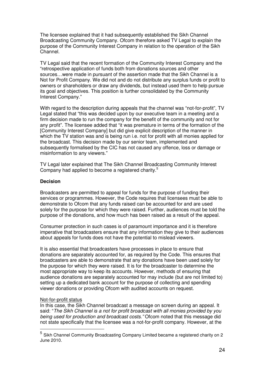The licensee explained that it had subsequently established the Sikh Channel Broadcasting Community Company. Ofcom therefore asked TV Legal to explain the purpose of the Community Interest Company in relation to the operation of the Sikh Channel.

TV Legal said that the recent formation of the Community Interest Company and the "retrospective application of funds both from donations sources and other sources…were made in pursuant of the assertion made that the Sikh Channel is a Not for Profit Company. We did not and do not distribute any surplus funds or profit to owners or shareholders or draw any dividends, but instead used them to help pursue its goal and objectives. This position is further consolidated by the Community Interest Company."

With regard to the description during appeals that the channel was "not-for-profit", TV Legal stated that "this was decided upon by our executive team in a meeting and a firm decision made to run the company for the benefit of the community and not for any profit". The licensee added that "it was premature in terms of the formation of the [Community Interest Company] but did give explicit description of the manner in which the TV station was and is being run i.e. not for profit with all monies applied for the broadcast. This decision made by our senior team, implemented and subsequently formalised by the CIC has not caused any offence, loss or damage or misinformation to any viewers."

TV Legal later explained that The Sikh Channel Broadcasting Community Interest Company had applied to become a registered charity.<sup>5</sup>

### **Decision**

Broadcasters are permitted to appeal for funds for the purpose of funding their services or programmes. However, the Code requires that licensees must be able to demonstrate to Ofcom that any funds raised can be accounted for and are used solely for the purpose for which they were raised. Further, audiences must be told the purpose of the donations, and how much has been raised as a result of the appeal.

Consumer protection in such cases is of paramount importance and it is therefore imperative that broadcasters ensure that any information they give to their audiences about appeals for funds does not have the potential to mislead viewers.

It is also essential that broadcasters have processes in place to ensure that donations are separately accounted for, as required by the Code. This ensures that broadcasters are able to demonstrate that any donations have been used solely for the purpose for which they were raised. It is for the broadcaster to determine the most appropriate way to keep its accounts. However, methods of ensuring that audience donations are separately accounted for may include (but are not limited to) setting up a dedicated bank account for the purpose of collecting and spending viewer donations or providing Ofcom with audited accounts on request.

### Not-for-profit status

In this case, the Sikh Channel broadcast a message on screen during an appeal. It said: "*The Sikh Channel is a not for profit broadcast with all monies provided by you being used for production and broadcast costs."* Ofcom noted that this message did not state specifically that the licensee was a not-for-profit company. However, at the

<sup>5</sup> Sikh Channel Community Broadcasting Company Limited became a registered charity on 2 June 2010.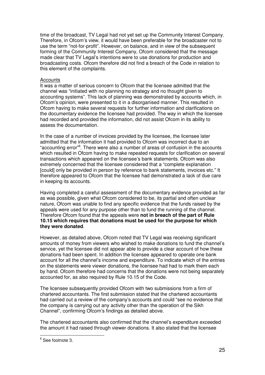time of the broadcast, TV Legal had not yet set up the Community Interest Company. Therefore, in Ofcom's view, it would have been preferable for the broadcaster not to use the term "not-for-profit". However, on balance, and in view of the subsequent forming of the Community Interest Company, Ofcom considered that the message made clear that TV Legal's intentions were to use donations for production and broadcasting costs. Ofcom therefore did not find a breach of the Code in relation to this element of the complaints.

### **Accounts**

It was a matter of serious concern to Ofcom that the licensee admitted that the channel was "initiated with no planning no strategy and no thought given to accounting systems". This lack of planning was demonstrated by accounts which, in Ofcom's opinion, were presented to it in a disorganised manner. This resulted in Ofcom having to make several requests for further information and clarifications on the documentary evidence the licensee had provided. The way in which the licensee had recorded and provided the information, did not assist Ofcom in its ability to assess the documentation.

In the case of a number of invoices provided by the licensee, the licensee later admitted that the information it had provided to Ofcom was incorrect due to an "accounting error" 6 . There were also a number of areas of confusion in the accounts which resulted in Ofcom having to make repeated requests for clarification on several transactions which appeared on the licensee's bank statements. Ofcom was also extremely concerned that the licensee considered that a "complete explanation [could] only be provided in person by reference to bank statements, invoices etc." It therefore appeared to Ofcom that the licensee had demonstrated a lack of due care in keeping its accounts.

Having completed a careful assessment of the documentary evidence provided as far as was possible, given what Ofcom considered to be, its partial and often unclear nature, Ofcom was unable to find any specific evidence that the funds raised by the appeals were used for any purpose other than to fund the running of the channel. Therefore Ofcom found that the appeals were **not in breach of the part of Rule 10.15 which requires that donations must be used for the purpose for which they were donated**.

However, as detailed above, Ofcom noted that TV Legal was receiving significant amounts of money from viewers who wished to make donations to fund the channel's service, yet the licensee did not appear able to provide a clear account of how these donations had been spent. In addition the licensee appeared to operate one bank account for all the channel's income and expenditure. To indicate which of the entries on the statements were viewer donations, the licensee had had to mark them each by hand. Ofcom therefore had concerns that the donations were not being separately accounted for, as also required by Rule 10.15 of the Code.

The licensee subsequently provided Ofcom with two submissions from a firm of chartered accountants. The first submission stated that the chartered accountants had carried out a review of the company's accounts and could "see no evidence that the company is carrying out any activity other than the operation of the Sikh Channel", confirming Ofcom's findings as detailed above.

The chartered accountants also confirmed that the channel's expenditure exceeded the amount it had raised through viewer donations. It also stated that the licensee

<sup>6</sup> See footnote 3.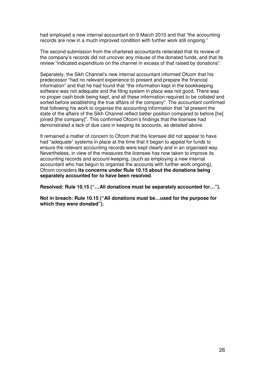had employed a new internal accountant on 9 March 2010 and that "the accounting records are now in a much improved condition with further work still ongoing."

The second submission from the chartered accountants reiterated that its review of the company's records did not uncover any misuse of the donated funds, and that its review "indicated expenditure on the channel in excess of that raised by donations".

Separately, the Sikh Channel's new internal accountant informed Ofcom that his predecessor "had no relevant experience to present and prepare the financial information" and that he had found that "the information kept in the bookkeeping software was not adequate and the filing system in place was not good. There was no proper cash book being kept, and all these information required to be collated and sorted before establishing the true affairs of the company". The accountant confirmed that following his work to organise the accounting information that "at present the state of the affairs of the Sikh Channel reflect better position compared to before [he] joined [the company]". This confirmed Ofcom's findings that the licensee had demonstrated a lack of due care in keeping its accounts, as detailed above.

It remained a matter of concern to Ofcom that the licensee did not appear to have had "adequate" systems in place at the time that it began to appeal for funds to ensure the relevant accounting records were kept clearly and in an organised way. Nevertheless, in view of the measures the licensee has now taken to improve its accounting records and account-keeping, (such as employing a new internal accountant who has begun to organise the accounts with further work ongoing), Ofcom considers **its concerns under Rule 10.15 about the donations being separately accounted for to have been resolved**.

**Resolved: Rule 10.15 ("…All donations must be separately accounted for…").**

**Not in breach: Rule 10.15 ("All donations must be…used for the purpose for which they were donated").**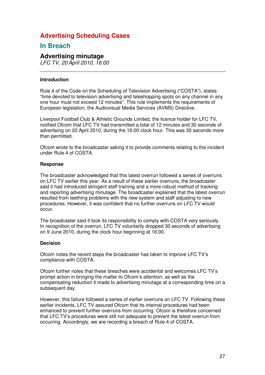# **Advertising Scheduling Cases**

# **In Breach**

### **Advertising minutage**

*LFC TV, 20 April 2010, 16:00*

### **Introduction**

Rule 4 of the Code on the Scheduling of Television Advertising ("COSTA"), states: "time devoted to television advertising and teleshopping spots on any channel in any one hour must not exceed 12 minutes". This rule implements the requirements of European legislation, the Audiovisual Media Services (AVMS) Directive.

Liverpool Football Club & Athletic Grounds Limited, the licence holder for LFC TV, notified Ofcom that LFC TV had transmitted a total of 12 minutes and 30 seconds of advertising on 20 April 2010, during the 16:00 clock hour. This was 30 seconds more than permitted.

Ofcom wrote to the broadcaster asking it to provide comments relating to the incident under Rule 4 of COSTA.

### **Response**

The broadcaster acknowledged that this latest overrun followed a series of overruns on LFC TV earlier this year. As a result of these earlier overruns, the broadcaster said it had introduced stringent staff training and a more robust method of tracking and reporting advertising minutage. The broadcaster explained that the latest overrun resulted from teething problems with the new system and staff adjusting to new procedures. However, it was confident that no further overruns on LFC TV would occur.

The broadcaster said it took its responsibility to comply with COSTA very seriously. In recognition of the overrun, LFC TV voluntarily dropped 30 seconds of advertising on 9 June 2010, during the clock hour beginning at 16:00.

### **Decision**

Ofcom notes the recent steps the broadcaster has taken to improve LFC TV's compliance with COSTA.

Ofcom further notes that these breaches were accidental and welcomes LFC TV's prompt action in bringing the matter to Ofcom's attention, as well as the compensating reduction it made to advertising minutage at a corresponding time on a subsequent day.

However, this failure followed a series of earlier overruns on LFC TV. Following these earlier incidents, LFC TV assured Ofcom that its internal procedures had been enhanced to prevent further overruns from occurring. Ofcom is therefore concerned that LFC TV's procedures were still not adequate to prevent the latest overrun from occurring. Accordingly, we are recording a breach of Rule 4 of COSTA.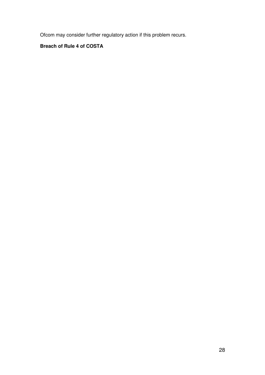Ofcom may consider further regulatory action if this problem recurs.

## **Breach of Rule 4 of COSTA**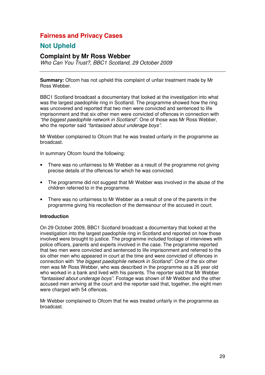# **Fairness and Privacy Cases**

# **Not Upheld**

### **Complaint by Mr Ross Webber**

*Who Can You Trust?, BBC1 Scotland, 29 October 2009*

**Summary:** Ofcom has not upheld this complaint of unfair treatment made by Mr Ross Webber.

BBC1 Scotland broadcast a documentary that looked at the investigation into what was the largest paedophile ring in Scotland. The programme showed how the ring was uncovered and reported that two men were convicted and sentenced to life imprisonment and that six other men were convicted of offences in connection with *"the biggest paedophile network in Scotland"*. One of those was Mr Ross Webber, who the reporter said *"fantasised about underage boys"*.

Mr Webber complained to Ofcom that he was treated unfairly in the programme as broadcast.

In summary Ofcom found the following:

- There was no unfairness to Mr Webber as a result of the programme not giving precise details of the offences for which he was convicted.
- The programme did not suggest that Mr Webber was involved in the abuse of the children referred to in the programme.
- There was no unfairness to Mr Webber as a result of one of the parents in the programme giving his recollection of the demeanour of the accused in court.

### **Introduction**

On 29 October 2009, BBC1 Scotland broadcast a documentary that looked at the investigation into the largest paedophile ring in Scotland and reported on how those involved were brought to justice. The programme included footage of interviews with police officers, parents and experts involved in the case. The programme reported that two men were convicted and sentenced to life imprisonment and referred to the six other men who appeared in court at the time and were convicted of offences in connection with *"the biggest paedophile network in Scotland"*. One of the six other men was Mr Ross Webber, who was described in the programme as a 26 year old who worked in a bank and lived with his parents. The reporter said that Mr Webber *"fantasised about underage boys"*. Footage was shown of Mr Webber and the other accused men arriving at the court and the reporter said that, together, the eight men were charged with 54 offences.

Mr Webber complained to Ofcom that he was treated unfairly in the programme as broadcast.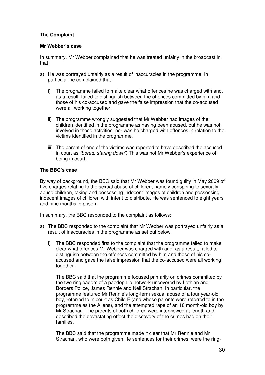### **The Complaint**

### **Mr Webber's case**

In summary, Mr Webber complained that he was treated unfairly in the broadcast in that:

- a) He was portrayed unfairly as a result of inaccuracies in the programme. In particular he complained that:
	- i) The programme failed to make clear what offences he was charged with and, as a result, failed to distinguish between the offences committed by him and those of his co-accused and gave the false impression that the co-accused were all working together.
	- ii) The programme wrongly suggested that Mr Webber had images of the children identified in the programme as having been abused, but he was not involved in those activities, nor was he charged with offences in relation to the victims identified in the programme.
	- iii) The parent of one of the victims was reported to have described the accused in court as *"bored, staring down"*. This was not Mr Webber's experience of being in court.

### **The BBC's case**

By way of background, the BBC said that Mr Webber was found guilty in May 2009 of five charges relating to the sexual abuse of children, namely conspiring to sexually abuse children, taking and possessing indecent images of children and possessing indecent images of children with intent to distribute. He was sentenced to eight years and nine months in prison.

In summary, the BBC responded to the complaint as follows:

- a) The BBC responded to the complaint that Mr Webber was portrayed unfairly as a result of inaccuracies in the programme as set out below.
	- i) The BBC responded first to the complaint that the programme failed to make clear what offences Mr Webber was charged with and, as a result, failed to distinguish between the offences committed by him and those of his coaccused and gave the false impression that the co-accused were all working together.

The BBC said that the programme focused primarily on crimes committed by the two ringleaders of a paedophile network uncovered by Lothian and Borders Police, James Rennie and Neil Strachan. In particular, the programme featured Mr Rennie's long-term sexual abuse of a four year-old boy, referred to in court as Child F (and whose parents were referred to in the programme as the Allens), and the attempted rape of an 18 month-old boy by Mr Strachan. The parents of both children were interviewed at length and described the devastating effect the discovery of the crimes had on their families.

The BBC said that the programme made it clear that Mr Rennie and Mr Strachan, who were both given life sentences for their crimes, were the ring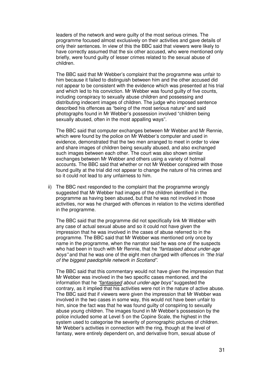leaders of the network and were guilty of the most serious crimes. The programme focused almost exclusively on their activities and gave details of only their sentences. In view of this the BBC said that viewers were likely to have correctly assumed that the six other accused, who were mentioned only briefly, were found guilty of lesser crimes related to the sexual abuse of children.

The BBC said that Mr Webber's complaint that the programme was unfair to him because it failed to distinguish between him and the other accused did not appear to be consistent with the evidence which was presented at his trial and which led to his conviction. Mr Webber was found guilty of five counts, including conspiracy to sexually abuse children and possessing and distributing indecent images of children. The judge who imposed sentence described his offences as "being of the most serious nature" and said photographs found in Mr Webber's possession involved "children being sexually abused, often in the most appalling ways".

The BBC said that computer exchanges between Mr Webber and Mr Rennie, which were found by the police on Mr Webber's computer and used in evidence, demonstrated that the two men arranged to meet in order to view and share images of children being sexually abused, and also exchanged such images between each other. The court was also shown similar exchanges between Mr Webber and others using a variety of hotmail accounts. The BBC said that whether or not Mr Webber conspired with those found guilty at the trial did not appear to change the nature of his crimes and so it could not lead to any unfairness to him.

ii) The BBC next responded to the complaint that the programme wrongly suggested that Mr Webber had images of the children identified in the programme as having been abused, but that he was not involved in those activities, nor was he charged with offences in relation to the victims identified in the programme.

The BBC said that the programme did not specifically link Mr Webber with any case of actual sexual abuse and so it could not have given the impression that he was involved in the cases of abuse referred to in the programme. The BBC said that Mr Webber was mentioned only once by name in the programme, when the narrator said he was one of the suspects who had been in touch with Mr Rennie, that he *"fantasised about under-age boys"* and that he was one of the eight men charged with offences in *"the trial of the biggest paedophile network in Scotland".*

The BBC said that this commentary would not have given the impression that Mr Webber was involved in the two specific cases mentioned, and the information that he *"fantasised about under-age boys"* suggested the contrary, as it implied that his activities were not in the nature of active abuse. The BBC said that if viewers were given the impression that Mr Webber was involved in the two cases in some way, this would not have been unfair to him, since the fact was that he was found guilty of conspiring to sexually abuse young children. The images found in Mr Webber's possession by the police included some at Level 5 on the Copine Scale, the highest in the system used to categorise the severity of pornographic pictures of children. Mr Webber's activities in connection with the ring, though at the level of fantasy, were entirely dependent on, and derivative from, sexual abuse of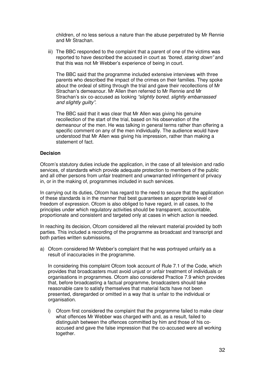children, of no less serious a nature than the abuse perpetrated by Mr Rennie and Mr Strachan.

iii) The BBC responded to the complaint that a parent of one of the victims was reported to have described the accused in court as *"bored, staring down"* and that this was not Mr Webber's experience of being in court.

The BBC said that the programme included extensive interviews with three parents who described the impact of the crimes on their families. They spoke about the ordeal of sitting through the trial and gave their recollections of Mr Strachan's demeanour. Mr Allen then referred to Mr Rennie and Mr Strachan's six co-accused as looking *"slightly bored, slightly embarrassed and slightly guilty".*

The BBC said that it was clear that Mr Allen was giving his genuine recollection of the start of the trial, based on his observation of the demeanour of the men. He was talking in general terms rather than offering a specific comment on any of the men individually. The audience would have understood that Mr Allen was giving his impression, rather than making a statement of fact.

### **Decision**

Ofcom's statutory duties include the application, in the case of all television and radio services, of standards which provide adequate protection to members of the public and all other persons from unfair treatment and unwarranted infringement of privacy in, or in the making of, programmes included in such services.

In carrying out its duties, Ofcom has regard to the need to secure that the application of these standards is in the manner that best guarantees an appropriate level of freedom of expression. Ofcom is also obliged to have regard, in all cases, to the principles under which regulatory activities should be transparent, accountable, proportionate and consistent and targeted only at cases in which action is needed.

In reaching its decision, Ofcom considered all the relevant material provided by both parties. This included a recording of the programme as broadcast and transcript and both parties written submissions.

a) Ofcom considered Mr Webber's complaint that he was portrayed unfairly as a result of inaccuracies in the programme.

In considering this complaint Ofcom took account of Rule 7.1 of the Code, which provides that broadcasters must avoid unjust or unfair treatment of individuals or organisations in programmes. Ofcom also considered Practice 7.9 which provides that, before broadcasting a factual programme, broadcasters should take reasonable care to satisfy themselves that material facts have not been presented, disregarded or omitted in a way that is unfair to the individual or organisation.

i) Ofcom first considered the complaint that the programme failed to make clear what offences Mr Webber was charged with and, as a result, failed to distinguish between the offences committed by him and those of his coaccused and gave the false impression that the co-accused were all working together.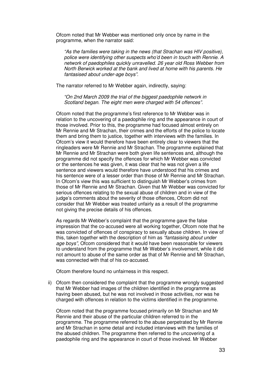Ofcom noted that Mr Webber was mentioned only once by name in the programme, when the narrator said:

*"As the families were taking in the news (that Strachan was HIV positive), police were identifying other suspects who'd been in touch with Rennie. A network of paedophiles quickly unravelled. 26 year old Ross Webber from North Berwick worked at the bank and lived at home with his parents. He fantasised about under-age boys".*

The narrator referred to Mr Webber again, indirectly, saying:

*"On 2nd March 2009 the trial of the biggest paedophile network in Scotland began. The eight men were charged with 54 offences".*

Ofcom noted that the programme's first reference to Mr Webber was in relation to the uncovering of a paedophile ring and the appearance in court of those involved. Prior to this, the programme had focused almost entirely on Mr Rennie and Mr Strachan, their crimes and the efforts of the police to locate them and bring them to justice, together with interviews with the families. In Ofcom's view it would therefore have been entirely clear to viewers that the ringleaders were Mr Rennie and Mr Strachan. The programme explained that Mr Rennie and Mr Strachan were both given life sentences and, although the programme did not specify the offences for which Mr Webber was convicted or the sentences he was given, it was clear that he was not given a life sentence and viewers would therefore have understood that his crimes and his sentence were of a lesser order than those of Mr Rennie and Mr Strachan. In Ofcom's view this was sufficient to distinguish Mr Webber's crimes from those of Mr Rennie and Mr Strachan. Given that Mr Webber was convicted for serious offences relating to the sexual abuse of children and in view of the judge's comments about the severity of those offences, Ofcom did not consider that Mr Webber was treated unfairly as a result of the programme not giving the precise details of his offences.

As regards Mr Webber's complaint that the programme gave the false impression that the co-accused were all working together, Ofcom note that he was convicted of offences of conspiracy to sexually abuse children. In view of this, taken together with the description of him as *"fantasising about under age boys"*, Ofcom considered that it would have been reasonable for viewers to understand from the programme that Mr Webber's involvement, while it did not amount to abuse of the same order as that of Mr Rennie and Mr Strachan, was connected with that of his co-accused.

Ofcom therefore found no unfairness in this respect.

ii) Ofcom then considered the complaint that the programme wrongly suggested that Mr Webber had images of the children identified in the programme as having been abused, but he was not involved in those activities, nor was he charged with offences in relation to the victims identified in the programme.

Ofcom noted that the programme focused primarily on Mr Strachan and Mr Rennie and their abuse of the particular children referred to in the programme. The programme referred to the abuse perpetrated by Mr Rennie and Mr Strachan in some detail and included interviews with the families of the abused children. The programme then referred to the uncovering of a paedophile ring and the appearance in court of those involved. Mr Webber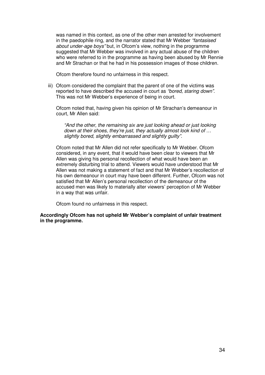was named in this context, as one of the other men arrested for involvement in the paedophile ring, and the narrator stated that Mr Webber *"fantasised about under-age boys"* but, in Ofcom's view, nothing in the programme suggested that Mr Webber was involved in any actual abuse of the children who were referred to in the programme as having been abused by Mr Rennie and Mr Strachan or that he had in his possession images of those children*.*

Ofcom therefore found no unfairness in this respect.

iii) Ofcom considered the complaint that the parent of one of the victims was reported to have described the accused in court as *"bored, staring down"*. This was not Mr Webber's experience of being in court.

Ofcom noted that, having given his opinion of Mr Strachan's demeanour in court, Mr Allen said:

*"And the other, the remaining six are just looking ahead or just looking down at their shoes, they're just, they actually almost look kind of … slightly bored, slightly embarrassed and slightly guilty".*

Ofcom noted that Mr Allen did not refer specifically to Mr Webber. Ofcom considered, in any event, that it would have been clear to viewers that Mr Allen was giving his personal recollection of what would have been an extremely disturbing trial to attend. Viewers would have understood that Mr Allen was not making a statement of fact and that Mr Webber's recollection of his own demeanour in court may have been different. Further, Ofcom was not satisfied that Mr Allen's personal recollection of the demeanour of the accused men was likely to materially alter viewers' perception of Mr Webber in a way that was unfair.

Ofcom found no unfairness in this respect.

**Accordingly Ofcom has not upheld Mr Webber's complaint of unfair treatment in the programme.**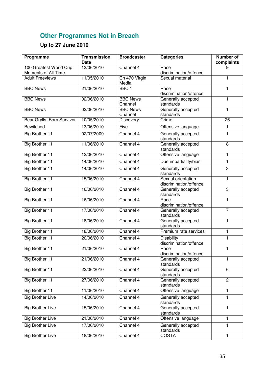# **Other Programmes Not in Breach**

# **Up to 27 June 2010**

| Programme                                     | <b>Transmission</b><br><b>Date</b> | <b>Broadcaster</b>         | <b>Categories</b>                            | <b>Number of</b><br>complaints |
|-----------------------------------------------|------------------------------------|----------------------------|----------------------------------------------|--------------------------------|
| 100 Greatest World Cup<br>Moments of All Time | 13/06/2010                         | Channel 4                  | Race<br>discrimination/offence               | 9                              |
| <b>Adult Freeviews</b>                        | 11/05/2010                         | Ch 470 Virgin<br>Media     | Sexual material                              | 1                              |
| <b>BBC News</b>                               | 21/06/2010                         | BBC <sub>1</sub>           | Race<br>discrimination/offence               | 1                              |
| <b>BBC News</b>                               | 02/06/2010                         | <b>BBC News</b><br>Channel | Generally accepted<br>standards              | 1                              |
| <b>BBC News</b>                               | 02/06/2010                         | <b>BBC News</b><br>Channel | Generally accepted<br>standards              | 1                              |
| Bear Grylls: Born Survivor                    | 10/05/2010                         | <b>Discovery</b>           | Crime                                        | 26                             |
| Bewitched                                     | 13/06/2010                         | Five                       | Offensive language                           | 1                              |
| Big Brother 11                                | 02/07/2009                         | Channel 4                  | Generally accepted<br>standards              | 1                              |
| <b>Big Brother 11</b>                         | 11/06/2010                         | Channel 4                  | Generally accepted<br>standards              | 8                              |
| Big Brother 11                                | 12/06/2010                         | Channel 4                  | Offensive language                           | 1                              |
| <b>Big Brother 11</b>                         | 14/06/2010                         | Channel 4                  | Due impartiality/bias                        | 1                              |
| Big Brother 11                                | 14/06/2010                         | Channel 4                  | Generally accepted<br>standards              | 3                              |
| <b>Big Brother 11</b>                         | 15/06/2010                         | Channel 4                  | Sexual orientation<br>discrimination/offence | $\mathbf{1}$                   |
| <b>Big Brother 11</b>                         | 16/06/2010                         | Channel $4$                | Generally accepted<br>standards              | $\overline{3}$                 |
| <b>Big Brother 11</b>                         | 16/06/2010                         | Channel 4                  | Race<br>discrimination/offence               | $\mathbf{1}$                   |
| <b>Big Brother 11</b>                         | 17/06/2010                         | Channel 4                  | Generally accepted<br>standards              | $\overline{7}$                 |
| Big Brother 11                                | 18/06/2010                         | Channel 4                  | Generally accepted<br>standards              | 1                              |
| <b>Big Brother 11</b>                         | 18/06/2010                         | Channel 4                  | Premium rate services                        | 1                              |
| Big Brother 11                                | 20/06/2010                         | Channel 4                  | <b>Disability</b><br>discrimination/offence  | 1                              |
| <b>Big Brother 11</b>                         | 21/06/2010                         | Channel 4                  | Race<br>discrimination/offence               | 1                              |
| Big Brother 11                                | 21/06/2010                         | Channel 4                  | Generally accepted<br>standards              | 1                              |
| <b>Big Brother 11</b>                         | 22/06/2010                         | Channel 4                  | Generally accepted<br>standards              | 6                              |
| Big Brother 11                                | 27/06/2010                         | Channel 4                  | Generally accepted<br>standards              | $\overline{2}$                 |
| <b>Big Brother 11</b>                         | 11/06/2010                         | Channel 4                  | Offensive language                           | 1                              |
| <b>Big Brother Live</b>                       | 14/06/2010                         | Channel 4                  | Generally accepted<br>standards              | 1                              |
| <b>Big Brother Live</b>                       | 15/06/2010                         | Channel 4                  | Generally accepted<br>standards              | $\mathbf{1}$                   |
| <b>Big Brother Live</b>                       | 21/06/2010                         | Channel 4                  | Offensive language                           | 1                              |
| <b>Big Brother Live</b>                       | 17/06/2010                         | Channel 4                  | Generally accepted<br>standards              | 1                              |
| <b>Big Brother Live</b>                       | 18/06/2010                         | Channel 4                  | <b>COSTA</b>                                 | 1                              |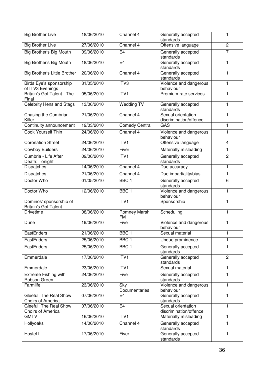| <b>Big Brother Live</b>                                | 18/06/2010 | Channel 4                 | Generally accepted<br>standards              | 1              |
|--------------------------------------------------------|------------|---------------------------|----------------------------------------------|----------------|
| <b>Big Brother Live</b>                                | 27/06/2010 | Channel 4                 | Offensive language                           | $\overline{c}$ |
| Big Brother's Big Mouth                                | 09/06/2010 | E <sub>4</sub>            | Generally accepted<br>standards              | $\overline{7}$ |
| Big Brother's Big Mouth                                | 18/06/2010 | E <sub>4</sub>            | Generally accepted<br>standards              | 1              |
| Big Brother's Little Brother                           | 20/06/2010 | Channel 4                 | Generally accepted<br>standards              | 1              |
| Birds Eye's sponsorship<br>of ITV3 Evenings            | 31/05/2010 | ITV3                      | Violence and dangerous<br>behaviour          | $\mathbf{1}$   |
| Britain's Got Talent - The<br>Final                    | 05/06/2010 | ITVI                      | Premium rate services                        | 1              |
| Celebrity Hens and Stags                               | 13/06/2010 | <b>Wedding TV</b>         | Generally accepted<br>standards              | 1              |
| Chasing the Cumbrian<br>Killer                         | 21/06/2010 | Channel 4                 | Sexual orientation<br>discrimination/offence | 1              |
| Continuity announcement                                | 19/03/2010 | <b>Comedy Central</b>     | GAS                                          | 1              |
| Cook Yourself Thin                                     | 24/06/2010 | Channel 4                 | Violence and dangerous<br>behaviour          | 1              |
| <b>Coronation Street</b>                               | 24/06/2010 | ITV1                      | Offensive language                           | $\overline{4}$ |
| <b>Cowboy Builders</b>                                 | 24/06/2010 | Fiver                     | Materially misleading                        | 1              |
| Cumbria - Life After<br>Death: Tonight                 | 09/06/2010 | ITVI                      | Generally accepted<br>standards              | $\overline{2}$ |
| Dispatches                                             | 14/06/2010 | Channel 4                 | Due accuracy                                 | 1              |
| <b>Dispatches</b>                                      | 21/06/2010 | Channel 4                 | Due impartiality/bias                        | 1              |
| Doctor Who                                             | 01/05/2010 | BBC <sub>1</sub>          | Generally accepted<br>standards              | 6              |
| Doctor Who                                             | 12/06/2010 | BBC <sub>1</sub>          | Violence and dangerous<br>behaviour          | 1              |
| Dominos' sponsorship of<br><b>Britain's Got Talent</b> |            | ITVI                      | Sponsorship                                  | 1              |
| <b>Drivetime</b>                                       | 08/06/2010 | Romney Marsh<br><b>FM</b> | Scheduling                                   | $\mathbf{1}$   |
| Dune                                                   | 19/06/2010 | Five                      | Violence and dangerous<br>behaviour          | $\mathbf{1}$   |
| EastEnders                                             | 21/06/2010 | BBC <sub>1</sub>          | Sexual material                              | 1              |
| EastEnders                                             | 25/06/2010 | BBC <sub>1</sub>          | Undue prominence                             | 1              |
| EastEnders                                             | 25/06/2010 | $BBC \overline{1}$        | Generally accepted<br>standards              | 1              |
| Emmerdale                                              | 17/06/2010 | ITV <sub>1</sub>          | Generally accepted<br>standards              | $\overline{2}$ |
| Emmerdale                                              | 23/06/2010 | ITV1                      | Sexual material                              | 1              |
| <b>Extreme Fishing with</b><br>Robson Green            | 24/06/2010 | Five                      | Generally accepted<br>standards              | 1              |
| Farmlife                                               | 23/06/2010 | Sky<br>Documentaries      | Violence and dangerous<br>behaviour          | 1              |
| Gleeful: The Real Show<br><b>Choirs of America</b>     | 07/06/2010 | E <sub>4</sub>            | Generally accepted<br>standards              | 1              |
| Gleeful: The Real Show<br>Choirs of America            | 07/06/2010 | E <sub>4</sub>            | Sexual orientation<br>discrimination/offence | 1              |
| <b>GMTV</b>                                            | 16/06/2010 | ITV <sub>1</sub>          | Materially misleading                        | 1              |
| Hollyoaks                                              | 14/06/2010 | Channel 4                 | Generally accepted<br>standards              | 1              |
| Hostel II                                              | 17/06/2010 | Fiver                     | Generally accepted<br>standards              | 1              |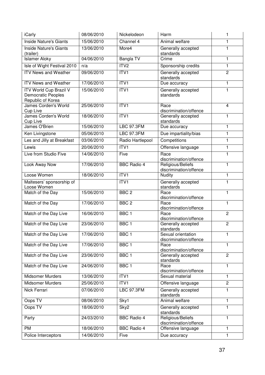| iCarly                                                                   | 08/06/2010 | Nickelodeon        | Harm                                         | 1              |
|--------------------------------------------------------------------------|------------|--------------------|----------------------------------------------|----------------|
| <b>Inside Nature's Giants</b>                                            | 15/06/2010 | Channel 4          | Animal welfare                               | 1              |
| Inside Nature's Giants<br>(trailer)                                      | 13/06/2010 | More4              | Generally accepted<br>standards              | $\mathbf{1}$   |
| <b>Islamer Aloky</b>                                                     | 04/06/2010 | <b>Bangla TV</b>   | Crime                                        | 1              |
| Isle of Wight Festival 2010                                              | n/a        | ITV2               | Sponsorship credits                          | $\mathbf{1}$   |
| <b>ITV News and Weather</b>                                              | 09/06/2010 | ITV1               | Generally accepted<br>standards              | $\overline{2}$ |
| <b>ITV</b> News and Weather                                              | 17/06/2010 | ITVI               | Due accuracy                                 | 1              |
| ITV World Cup Brazil V<br><b>Democratic Peoples</b><br>Republic of Korea | 15/06/2010 | ITV1               | Generally accepted<br>standards              | 1              |
| James Corden's World<br>Cup Live                                         | 25/06/2010 | ITVI               | Race<br>discrimination/offence               | 4              |
| James Corden's World<br>Cup Live                                         | 18/06/2010 | ITVI               | Generally accepted<br>standards              | $\mathbf{1}$   |
| James O'Brien                                                            | 15/06/2010 | <b>LBC 97.3FM</b>  | Due accuracy                                 | $\mathbf{1}$   |
| Ken Livingstone                                                          | 05/06/2010 | <b>LBC 97.3FM</b>  | Due impartiality/bias                        | $\mathbf{1}$   |
| Les and Jilly at Breakfast                                               | 03/06/2010 | Radio Hartlepool   | Competitions                                 | $\mathbf{1}$   |
| Lewis                                                                    | 20/06/2010 | ITV <sub>1</sub>   | Offensive language                           | $\mathbf{1}$   |
| Live from Studio Five                                                    | 14/06/2010 | Five               | Race<br>discrimination/offence               | 1              |
| Look Away Now                                                            | 17/06/2010 | <b>BBC Radio 4</b> | Religious/Beliefs<br>discrimination/offence  | $\mathbf{1}$   |
| Loose Women                                                              | 18/06/2010 | ITV1               | Nudity                                       | $\mathbf{1}$   |
| Maltesers' sponsorship of<br>Loose Women                                 |            | ITV1               | Generally accepted<br>standards              | $\mathbf{1}$   |
| Match of the Day                                                         | 15/06/2010 | BBC <sub>2</sub>   | Race<br>discrimination/offence               | $\mathbf{1}$   |
| Match of the Day                                                         | 17/06/2010 | BBC <sub>2</sub>   | Race<br>discrimination/offence               | 1              |
| Match of the Day Live                                                    | 16/06/2010 | BBC <sub>1</sub>   | Race<br>discrimination/offence               | $\overline{2}$ |
| Match of the Day Live                                                    | 23/06/2010 | BBC <sub>1</sub>   | Generally accepted<br>standards              | $\overline{2}$ |
| Match of the Day Live                                                    | 17/06/2010 | BBC <sub>1</sub>   | Sexual orientation<br>discrimination/offence | 1              |
| Match of the Day Live                                                    | 17/06/2010 | BBC <sub>1</sub>   | Race<br>discrimination/offence               | $\mathbf{1}$   |
| Match of the Day Live                                                    | 23/06/2010 | BBC <sub>1</sub>   | Generally accepted<br>standards              | $\overline{2}$ |
| Match of the Day Live                                                    | 24/06/2010 | BBC <sub>1</sub>   | Race<br>discrimination/offence               | $\mathbf{1}$   |
| Midsomer Murders                                                         | 13/06/2010 | ITVI               | Sexual material                              | $\mathbf{1}$   |
| <b>Midsomer Murders</b>                                                  | 25/06/2010 | ITV <sub>1</sub>   | Offensive language                           | $\overline{2}$ |
| Nick Ferrari                                                             | 07/06/2010 | <b>LBC 97.3FM</b>  | Generally accepted<br>standards              | 1              |
| Oops TV                                                                  | 08/06/2010 | Sky1               | Animal welfare                               | 1              |
| Oops TV                                                                  | 18/06/2010 | Sky2               | Generally accepted<br>standards              | $\mathbf{1}$   |
| Party                                                                    | 24/03/2010 | <b>BBC Radio 4</b> | Religious/Beliefs<br>discrimination/offence  | 1              |
| <b>PM</b>                                                                | 18/06/2010 | <b>BBC Radio 4</b> | Offensive language                           | 1              |
| Police Interceptors                                                      | 14/06/2010 | Five               | Due accuracy                                 | $\mathbf{1}$   |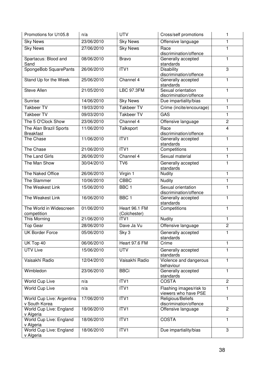| Promotions for U105.8                      | n/a        | <b>UTV</b>                    | Cross/self promotions                           | 1              |
|--------------------------------------------|------------|-------------------------------|-------------------------------------------------|----------------|
| <b>Sky News</b>                            | 23/06/2010 | <b>Sky News</b>               | Offensive language                              | 1              |
| <b>Sky News</b>                            | 27/06/2010 | <b>Sky News</b>               | Race<br>discrimination/offence                  | $\mathbf{1}$   |
| Spartacus: Blood and<br>Sand               | 08/06/2010 | <b>Bravo</b>                  | Generally accepted<br>standards                 | 1              |
| SpongeBob SquarePants                      | 26/06/2010 | ITV1                          | <b>Disability</b><br>discrimination/offence     | 3              |
| Stand Up for the Week                      | 25/06/2010 | Channel $4$                   | Generally accepted<br>standards                 | 1              |
| <b>Steve Allen</b>                         | 21/05/2010 | <b>LBC 97.3FM</b>             | Sexual orientation<br>discrimination/offence    | 1              |
| Sunrise                                    | 14/06/2010 | <b>Sky News</b>               | Due impartiality/bias                           | $\mathbf{1}$   |
| Takbeer TV                                 | 19/03/2010 | <b>Takbeer TV</b>             | Crime (incite/encourage)                        | $\mathbf{1}$   |
| <b>Takbeer TV</b>                          | 09/03/2010 | <b>Takbeer TV</b>             | GAS                                             | $\mathbf{1}$   |
| The 5 O'Clock Show                         | 23/06/2010 | Channel 4                     | Offensive language                              | $\overline{2}$ |
| The Alan Brazil Sports<br><b>Breakfast</b> | 11/06/2010 | Talksport                     | Race<br>discrimination/offence                  | 4              |
| The Chase                                  | 11/06/2010 | ITV <sub>1</sub>              | Generally accepted<br>standards                 | 1              |
| The Chase                                  | 21/06/2010 | ITV1                          | Competitions                                    | $\mathbf{1}$   |
| The Land Girls                             | 26/06/2010 | Channel 4                     | Sexual material                                 | $\mathbf{1}$   |
| The Man Show                               | 30/04/2010 | TV <sub>6</sub>               | Generally accepted<br>standards                 | 1              |
| The Naked Office                           | 26/06/2010 | Virgin 1                      | Nudity                                          | $\mathbf{1}$   |
| The Slammer                                | 10/06/2010 | <b>CBBC</b>                   | Nudity                                          | $\mathbf{1}$   |
| The Weakest Link                           | 15/06/2010 | BBC <sub>1</sub>              | Sexual orientation<br>discrimination/offence    | 1              |
| The Weakest Link                           | 16/06/2010 | BBC <sub>1</sub>              | Generally accepted<br>standards                 | 1              |
| The World in Widescreen<br>competition     | 01/06/2010 | Heart 96.1 FM<br>(Colchester) | Competitions                                    | 1              |
| This Morning                               | 21/06/2010 | ITV1                          | <b>Nudity</b>                                   | 1              |
| Top Gear                                   | 28/06/2010 | Dave Ja Vu                    | Offensive language                              | $\overline{2}$ |
| UK Border Force                            | 05/06/2010 | Sky 3                         | Generally accepted<br>standards                 | 1              |
| UK Top 40                                  | 06/06/2010 | Heart 97.6 FM                 | Crime                                           | 1              |
| <b>UTV Live</b>                            | 15/06/2010 | <b>UTV</b>                    | Generally accepted<br>standards                 | $\mathbf{1}$   |
| Vaisakhi Radio                             | 12/04/2010 | Vaisakhi Radio                | Violence and dangerous<br>behaviour             | $\mathbf{1}$   |
| Wimbledon                                  | 23/06/2010 | <b>BBCi</b>                   | Generally accepted<br>standards                 | $\mathbf{1}$   |
| World Cup Live                             | n/a        | ITV <sub>1</sub>              | <b>COSTA</b>                                    | $\overline{2}$ |
| World Cup Live                             | n/a        | ITV1                          | Flashing images/risk to<br>viewers who have PSE | 1              |
| World Cup Live: Argentina<br>v South Korea | 17/06/2010 | ITV1                          | Religious/Beliefs<br>discrimination/offence     | 1              |
| World Cup Live: England<br>v Algeria       | 18/06/2010 | ITV <sub>1</sub>              | Offensive language                              | $\overline{2}$ |
| World Cup Live: England<br>v Algeria       | 18/06/2010 | ITV1                          | <b>COSTA</b>                                    | $\mathbf{1}$   |
| World Cup Live: England<br>v Algeria       | 18/06/2010 | ITV1                          | Due impartiality/bias                           | 3              |